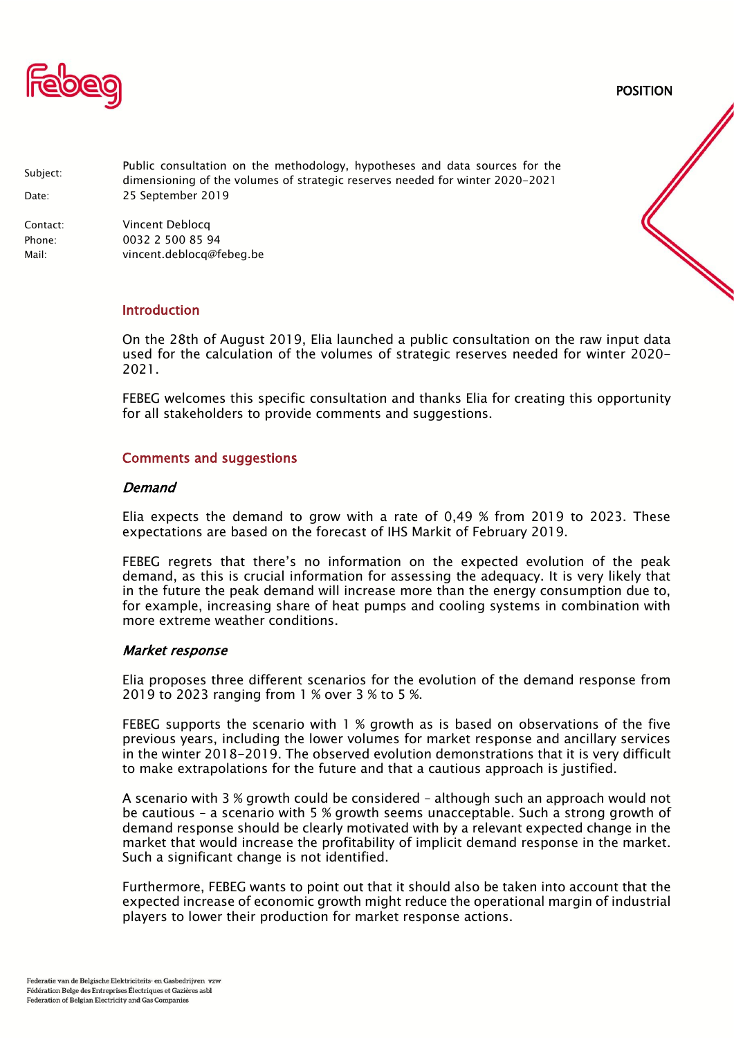

POSITION

| Subject:                    | Public consultation on the methodology, hypotheses and data sources for the<br>dimensioning of the volumes of strategic reserves needed for winter 2020-2021 |
|-----------------------------|--------------------------------------------------------------------------------------------------------------------------------------------------------------|
| Date:                       | 25 September 2019                                                                                                                                            |
| Contact:<br>Phone:<br>Mail: | Vincent Deblocg<br>0032 2 500 85 94<br>vincent.deblocg@febeg.be                                                                                              |
|                             |                                                                                                                                                              |

## Introduction

On the 28th of August 2019, Elia launched a public consultation on the raw input data used for the calculation of the volumes of strategic reserves needed for winter 2020- 2021.

FEBEG welcomes this specific consultation and thanks Elia for creating this opportunity for all stakeholders to provide comments and suggestions.

### Comments and suggestions

### **Demand**

Elia expects the demand to grow with a rate of 0,49 % from 2019 to 2023. These expectations are based on the forecast of IHS Markit of February 2019.

FEBEG regrets that there's no information on the expected evolution of the peak demand, as this is crucial information for assessing the adequacy. It is very likely that in the future the peak demand will increase more than the energy consumption due to, for example, increasing share of heat pumps and cooling systems in combination with more extreme weather conditions.

#### Market response

Elia proposes three different scenarios for the evolution of the demand response from 2019 to 2023 ranging from 1 % over 3 % to 5 %.

FEBEG supports the scenario with 1 % growth as is based on observations of the five previous years, including the lower volumes for market response and ancillary services in the winter 2018-2019. The observed evolution demonstrations that it is very difficult to make extrapolations for the future and that a cautious approach is justified.

A scenario with 3 % growth could be considered – although such an approach would not be cautious – a scenario with 5 % growth seems unacceptable. Such a strong growth of demand response should be clearly motivated with by a relevant expected change in the market that would increase the profitability of implicit demand response in the market. Such a significant change is not identified.

Furthermore, FEBEG wants to point out that it should also be taken into account that the expected increase of economic growth might reduce the operational margin of industrial players to lower their production for market response actions.